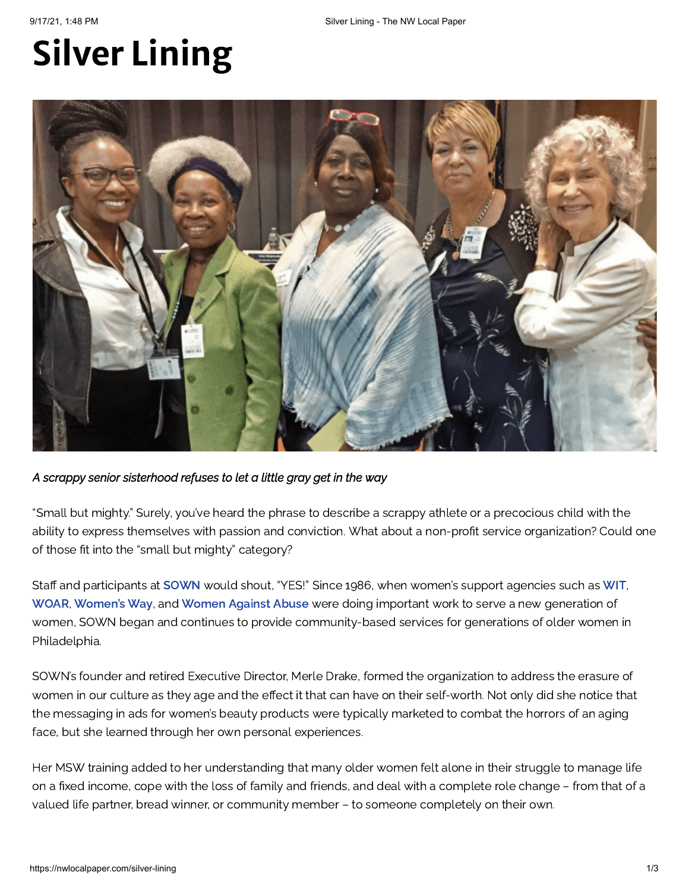# Silver Lining



*A scrappy senior sisterhood refuses to let a little gray get in the way*

"Small but mighty." Surely, you've heard the phrase to describe a scrappy athlete or a precocious child with the ability to express themselves with passion and conviction. What about a non-profit service organization? Could one of those fit into the "small but mighty" category?

Staff and participants at [SOWN](http://www.sown.org/) would shout, "YES!" Since 1986, when women's support agencies such as [WIT,](https://www.womenintechnology.org/) [WOAR](https://www.woar.org/), [Women's](https://womensway.org/) Way, and [Women](https://www.womenagainstabuse.org/) Against Abuse were doing important work to serve a new generation of women, SOWN began and continues to provide community-based services for generations of older women in Philadelphia.

SOWN's founder and retired Executive Director, Merle Drake, formed the organization to address the erasure of women in our culture as they age and the effect it that can have on their self-worth. Not only did she notice that the messaging in ads for women's beauty products were typically marketed to combat the horrors of an aging face, but she learned through her own personal experiences.

Her MSW training added to her understanding that many older women felt alone in their struggle to manage life on a fixed income, cope with the loss of family and friends, and deal with a complete role change – from that of a valued life partner, bread winner, or community member – to someone completely on their own.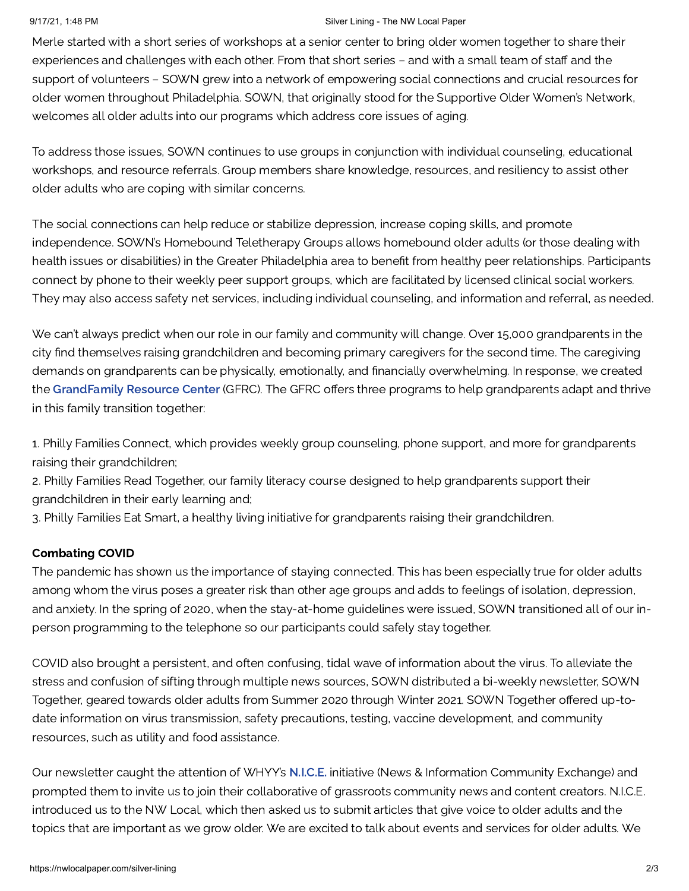## 9/17/21, 1:48 PM Silver Lining - The NW Local Paper

Merle started with a short series of workshops at a senior center to bring older women together to share their experiences and challenges with each other. From that short series – and with a small team of staff and the support of volunteers – SOWN grew into a network of empowering social connections and crucial resources for older women throughout Philadelphia. SOWN, that originally stood for the Supportive Older Women's Network, welcomes all older adults into our programs which address core issues of aging.

To address those issues, SOWN continues to use groups in conjunction with individual counseling, educational workshops, and resource referrals. Group members share knowledge, resources, and resiliency to assist other older adults who are coping with similar concerns.

The social connections can help reduce or stabilize depression, increase coping skills, and promote independence. SOWN's Homebound Teletherapy Groups allows homebound older adults (or those dealing with health issues or disabilities) in the Greater Philadelphia area to benefit from healthy peer relationships. Participants connect by phone to their weekly peer support groups, which are facilitated by licensed clinical social workers. They may also access safety net services, including individual counseling, and information and referral, as needed.

We can't always predict when our role in our family and community will change. Over 15,000 grandparents in the city find themselves raising grandchildren and becoming primary caregivers for the second time. The caregiving demands on grandparents can be physically, emotionally, and financially overwhelming. In response, we created the [GrandFamily](https://www.sown.org/grandfamily-resource-center) Resource Center (GFRC). The GFRC offers three programs to help grandparents adapt and thrive in this family transition together:

1. Philly Families Connect, which provides weekly group counseling, phone support, and more for grandparents raising their grandchildren;

2. Philly Families Read Together, our family literacy course designed to help grandparents support their grandchildren in their early learning and;

3. Philly Families Eat Smart, a healthy living initiative for grandparents raising their grandchildren.

## Combating COVID

The pandemic has shown us the importance of staying connected. This has been especially true for older adults among whom the virus poses a greater risk than other age groups and adds to feelings of isolation, depression, and anxiety. In the spring of 2020, when the stay-at-home guidelines were issued, SOWN transitioned all of our inperson programming to the telephone so our participants could safely stay together.

COVID also brought a persistent, and often confusing, tidal wave of information about the virus. To alleviate the stress and confusion of sifting through multiple news sources, SOWN distributed a bi-weekly newsletter, SOWN Together, geared towards older adults from Summer 2020 through Winter 2021. SOWN Together offered up-todate information on virus transmission, safety precautions, testing, vaccine development, and community resources, such as utility and food assistance.

Our newsletter caught the attention of WHYY's [N.I.C.E.](https://whyy.org/nice/) initiative (News & Information Community Exchange) and prompted them to invite us to join their collaborative of grassroots community news and content creators. N.I.C.E. introduced us to the NW Local, which then asked us to submit articles that give voice to older adults and the topics that are important as we grow older. We are excited to talk about events and services for older adults. We